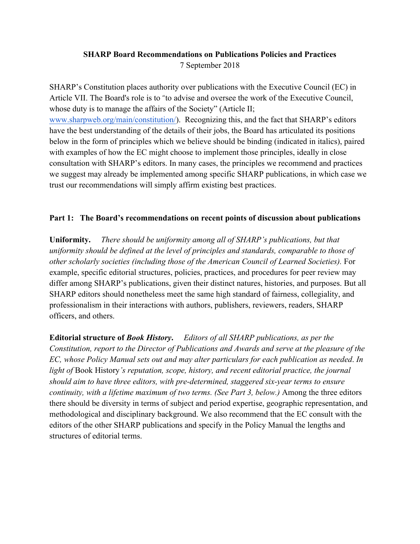## **SHARP Board Recommendations on Publications Policies and Practices** 7 September 2018

SHARP's Constitution places authority over publications with the Executive Council (EC) in Article VII. The Board's role is to "to advise and oversee the work of the Executive Council, whose duty is to manage the affairs of the Society" (Article II; www.sharpweb.org/main/constitution/). Recognizing this, and the fact that SHARP's editors have the best understanding of the details of their jobs, the Board has articulated its positions below in the form of principles which we believe should be binding (indicated in italics), paired with examples of how the EC might choose to implement those principles, ideally in close consultation with SHARP's editors. In many cases, the principles we recommend and practices we suggest may already be implemented among specific SHARP publications, in which case we trust our recommendations will simply affirm existing best practices.

## **Part 1: The Board's recommendations on recent points of discussion about publications**

**Uniformity.** *There should be uniformity among all of SHARP's publications, but that uniformity should be defined at the level of principles and standards, comparable to those of other scholarly societies (including those of the American Council of Learned Societies).* For example, specific editorial structures, policies, practices, and procedures for peer review may differ among SHARP's publications, given their distinct natures, histories, and purposes. But all SHARP editors should nonetheless meet the same high standard of fairness, collegiality, and professionalism in their interactions with authors, publishers, reviewers, readers, SHARP officers, and others.

**Editorial structure of** *Book History***.** *Editors of all SHARP publications, as per the Constitution, report to the Director of Publications and Awards and serve at the pleasure of the EC, whose Policy Manual sets out and may alter particulars for each publication as needed*. *In light of* Book History*'s reputation, scope, history, and recent editorial practice, the journal should aim to have three editors, with pre-determined, staggered six-year terms to ensure continuity, with a lifetime maximum of two terms. (See Part 3, below.)* Among the three editors there should be diversity in terms of subject and period expertise, geographic representation, and methodological and disciplinary background. We also recommend that the EC consult with the editors of the other SHARP publications and specify in the Policy Manual the lengths and structures of editorial terms.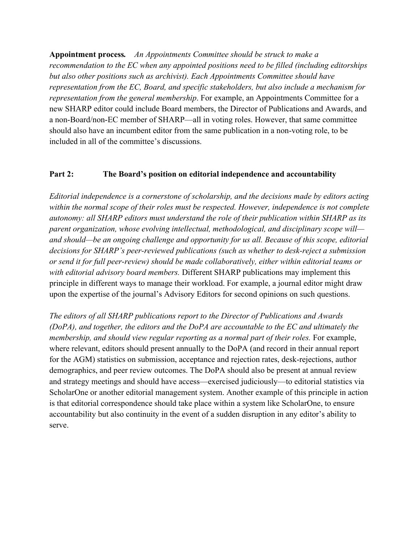**Appointment process***. An Appointments Committee should be struck to make a recommendation to the EC when any appointed positions need to be filled (including editorships but also other positions such as archivist). Each Appointments Committee should have representation from the EC, Board, and specific stakeholders, but also include a mechanism for representation from the general membership*. For example, an Appointments Committee for a new SHARP editor could include Board members, the Director of Publications and Awards, and a non-Board/non-EC member of SHARP—all in voting roles. However, that same committee should also have an incumbent editor from the same publication in a non-voting role, to be included in all of the committee's discussions.

## **Part 2: The Board's position on editorial independence and accountability**

*Editorial independence is a cornerstone of scholarship, and the decisions made by editors acting within the normal scope of their roles must be respected. However, independence is not complete autonomy: all SHARP editors must understand the role of their publication within SHARP as its parent organization, whose evolving intellectual, methodological, and disciplinary scope will and should—be an ongoing challenge and opportunity for us all. Because of this scope, editorial decisions for SHARP's peer-reviewed publications (such as whether to desk-reject a submission or send it for full peer-review) should be made collaboratively, either within editorial teams or with editorial advisory board members.* Different SHARP publications may implement this principle in different ways to manage their workload. For example, a journal editor might draw upon the expertise of the journal's Advisory Editors for second opinions on such questions.

*The editors of all SHARP publications report to the Director of Publications and Awards (DoPA), and together, the editors and the DoPA are accountable to the EC and ultimately the membership, and should view regular reporting as a normal part of their roles.* For example, where relevant, editors should present annually to the DoPA (and record in their annual report for the AGM) statistics on submission, acceptance and rejection rates, desk-rejections, author demographics, and peer review outcomes. The DoPA should also be present at annual review and strategy meetings and should have access—exercised judiciously—to editorial statistics via ScholarOne or another editorial management system. Another example of this principle in action is that editorial correspondence should take place within a system like ScholarOne, to ensure accountability but also continuity in the event of a sudden disruption in any editor's ability to serve.